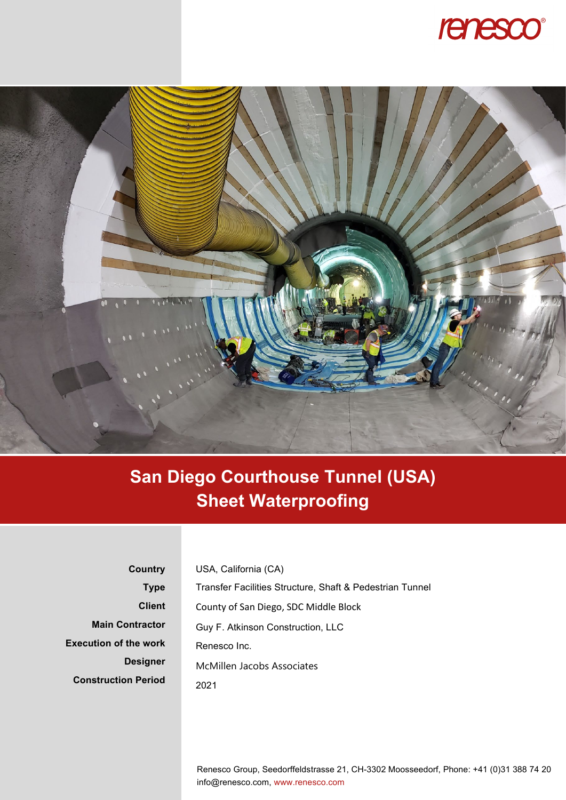



## **San Diego Courthouse Tunnel (USA) Sheet Waterproofing**

**Country Type Client Main Contractor Execution of the work Designer Construction Period** USA, California (CA) Transfer Facilities Structure, Shaft & Pedestrian Tunnel County of San Diego, SDC Middle Block Guy F. Atkinson Construction, LLC Renesco Inc. McMillen Jacobs Associates 2021